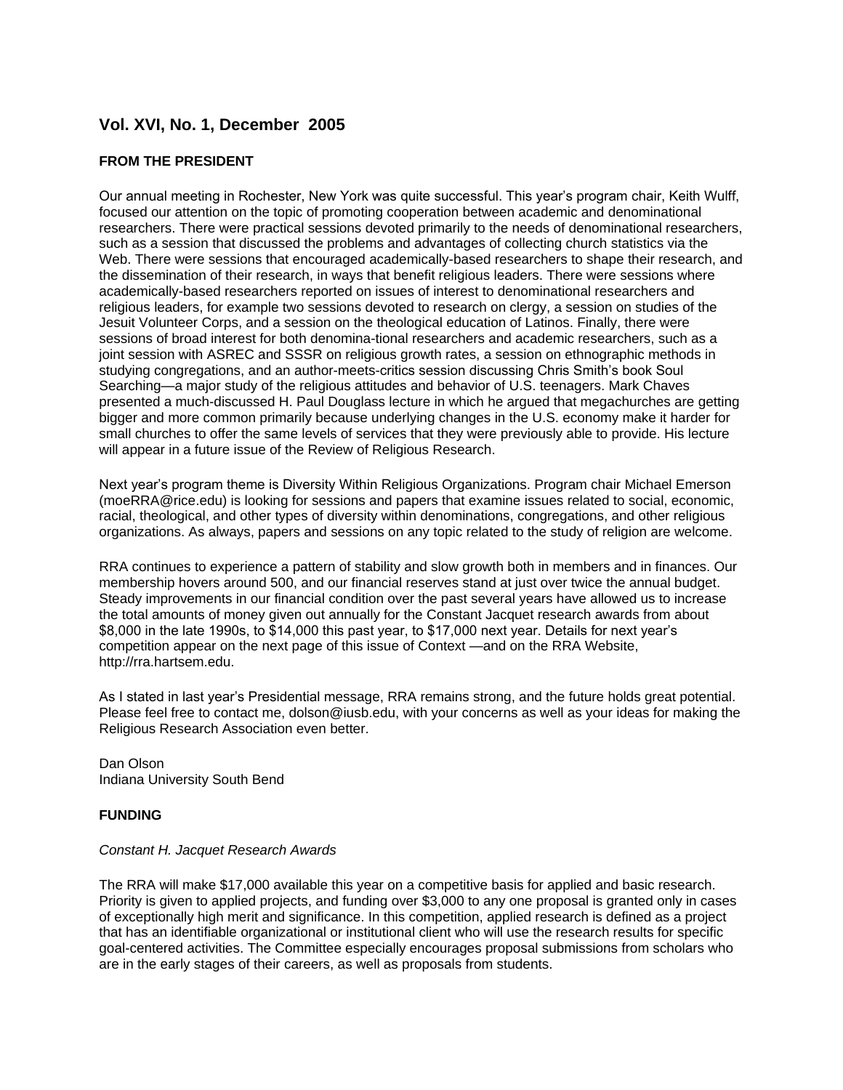# **Vol. XVI, No. 1, December 2005**

## **FROM THE PRESIDENT**

Our annual meeting in Rochester, New York was quite successful. This year's program chair, Keith Wulff, focused our attention on the topic of promoting cooperation between academic and denominational researchers. There were practical sessions devoted primarily to the needs of denominational researchers, such as a session that discussed the problems and advantages of collecting church statistics via the Web. There were sessions that encouraged academically-based researchers to shape their research, and the dissemination of their research, in ways that benefit religious leaders. There were sessions where academically-based researchers reported on issues of interest to denominational researchers and religious leaders, for example two sessions devoted to research on clergy, a session on studies of the Jesuit Volunteer Corps, and a session on the theological education of Latinos. Finally, there were sessions of broad interest for both denomina-tional researchers and academic researchers, such as a joint session with ASREC and SSSR on religious growth rates, a session on ethnographic methods in studying congregations, and an author-meets-critics session discussing Chris Smith's book Soul Searching—a major study of the religious attitudes and behavior of U.S. teenagers. Mark Chaves presented a much-discussed H. Paul Douglass lecture in which he argued that megachurches are getting bigger and more common primarily because underlying changes in the U.S. economy make it harder for small churches to offer the same levels of services that they were previously able to provide. His lecture will appear in a future issue of the Review of Religious Research.

Next year's program theme is Diversity Within Religious Organizations. Program chair Michael Emerson (moeRRA@rice.edu) is looking for sessions and papers that examine issues related to social, economic, racial, theological, and other types of diversity within denominations, congregations, and other religious organizations. As always, papers and sessions on any topic related to the study of religion are welcome.

RRA continues to experience a pattern of stability and slow growth both in members and in finances. Our membership hovers around 500, and our financial reserves stand at just over twice the annual budget. Steady improvements in our financial condition over the past several years have allowed us to increase the total amounts of money given out annually for the Constant Jacquet research awards from about \$8,000 in the late 1990s, to \$14,000 this past year, to \$17,000 next year. Details for next year's competition appear on the next page of this issue of Context —and on the RRA Website, http://rra.hartsem.edu.

As I stated in last year's Presidential message, RRA remains strong, and the future holds great potential. Please feel free to contact me, dolson@iusb.edu, with your concerns as well as your ideas for making the Religious Research Association even better.

Dan Olson Indiana University South Bend

#### **FUNDING**

#### *Constant H. Jacquet Research Awards*

The RRA will make \$17,000 available this year on a competitive basis for applied and basic research. Priority is given to applied projects, and funding over \$3,000 to any one proposal is granted only in cases of exceptionally high merit and significance. In this competition, applied research is defined as a project that has an identifiable organizational or institutional client who will use the research results for specific goal-centered activities. The Committee especially encourages proposal submissions from scholars who are in the early stages of their careers, as well as proposals from students.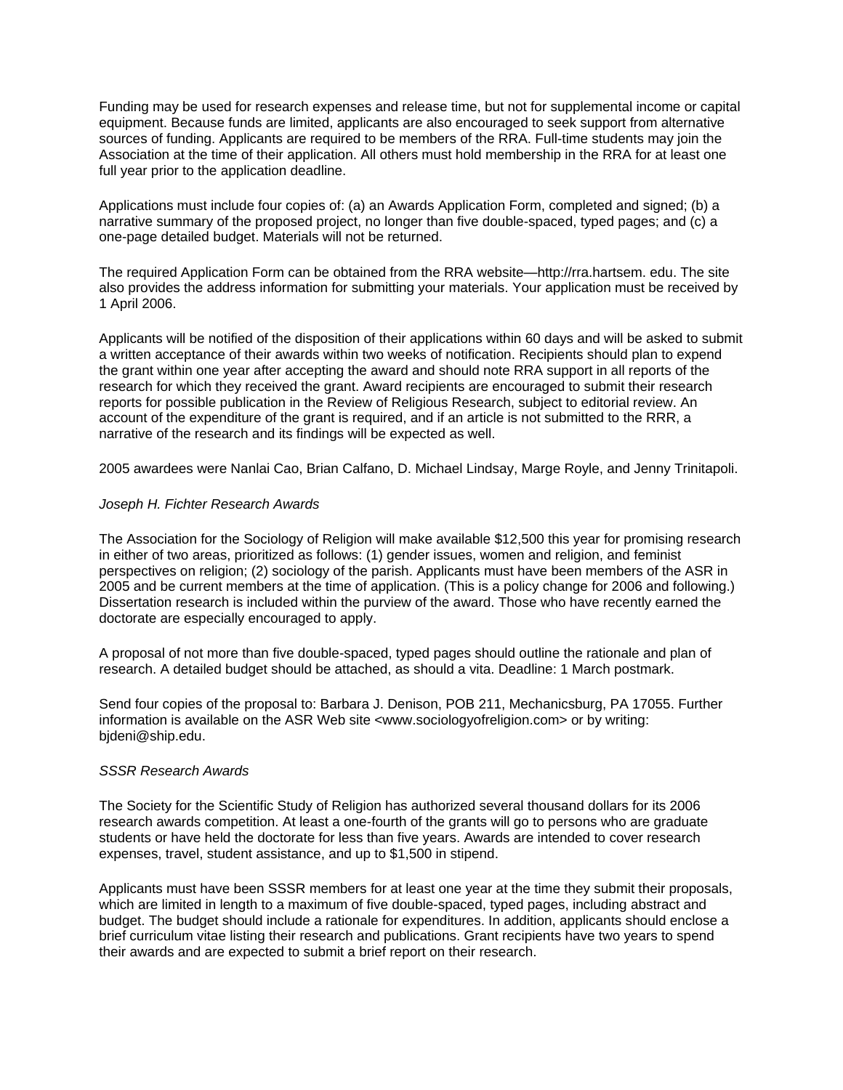Funding may be used for research expenses and release time, but not for supplemental income or capital equipment. Because funds are limited, applicants are also encouraged to seek support from alternative sources of funding. Applicants are required to be members of the RRA. Full-time students may join the Association at the time of their application. All others must hold membership in the RRA for at least one full year prior to the application deadline.

Applications must include four copies of: (a) an Awards Application Form, completed and signed; (b) a narrative summary of the proposed project, no longer than five double-spaced, typed pages; and (c) a one-page detailed budget. Materials will not be returned.

The required Application Form can be obtained from the RRA website—http://rra.hartsem. edu. The site also provides the address information for submitting your materials. Your application must be received by 1 April 2006.

Applicants will be notified of the disposition of their applications within 60 days and will be asked to submit a written acceptance of their awards within two weeks of notification. Recipients should plan to expend the grant within one year after accepting the award and should note RRA support in all reports of the research for which they received the grant. Award recipients are encouraged to submit their research reports for possible publication in the Review of Religious Research, subject to editorial review. An account of the expenditure of the grant is required, and if an article is not submitted to the RRR, a narrative of the research and its findings will be expected as well.

2005 awardees were Nanlai Cao, Brian Calfano, D. Michael Lindsay, Marge Royle, and Jenny Trinitapoli.

#### *Joseph H. Fichter Research Awards*

The Association for the Sociology of Religion will make available \$12,500 this year for promising research in either of two areas, prioritized as follows: (1) gender issues, women and religion, and feminist perspectives on religion; (2) sociology of the parish. Applicants must have been members of the ASR in 2005 and be current members at the time of application. (This is a policy change for 2006 and following.) Dissertation research is included within the purview of the award. Those who have recently earned the doctorate are especially encouraged to apply.

A proposal of not more than five double-spaced, typed pages should outline the rationale and plan of research. A detailed budget should be attached, as should a vita. Deadline: 1 March postmark.

Send four copies of the proposal to: Barbara J. Denison, POB 211, Mechanicsburg, PA 17055. Further information is available on the ASR Web site <www.sociologyofreligion.com> or by writing: bjdeni@ship.edu.

#### *SSSR Research Awards*

The Society for the Scientific Study of Religion has authorized several thousand dollars for its 2006 research awards competition. At least a one-fourth of the grants will go to persons who are graduate students or have held the doctorate for less than five years. Awards are intended to cover research expenses, travel, student assistance, and up to \$1,500 in stipend.

Applicants must have been SSSR members for at least one year at the time they submit their proposals, which are limited in length to a maximum of five double-spaced, typed pages, including abstract and budget. The budget should include a rationale for expenditures. In addition, applicants should enclose a brief curriculum vitae listing their research and publications. Grant recipients have two years to spend their awards and are expected to submit a brief report on their research.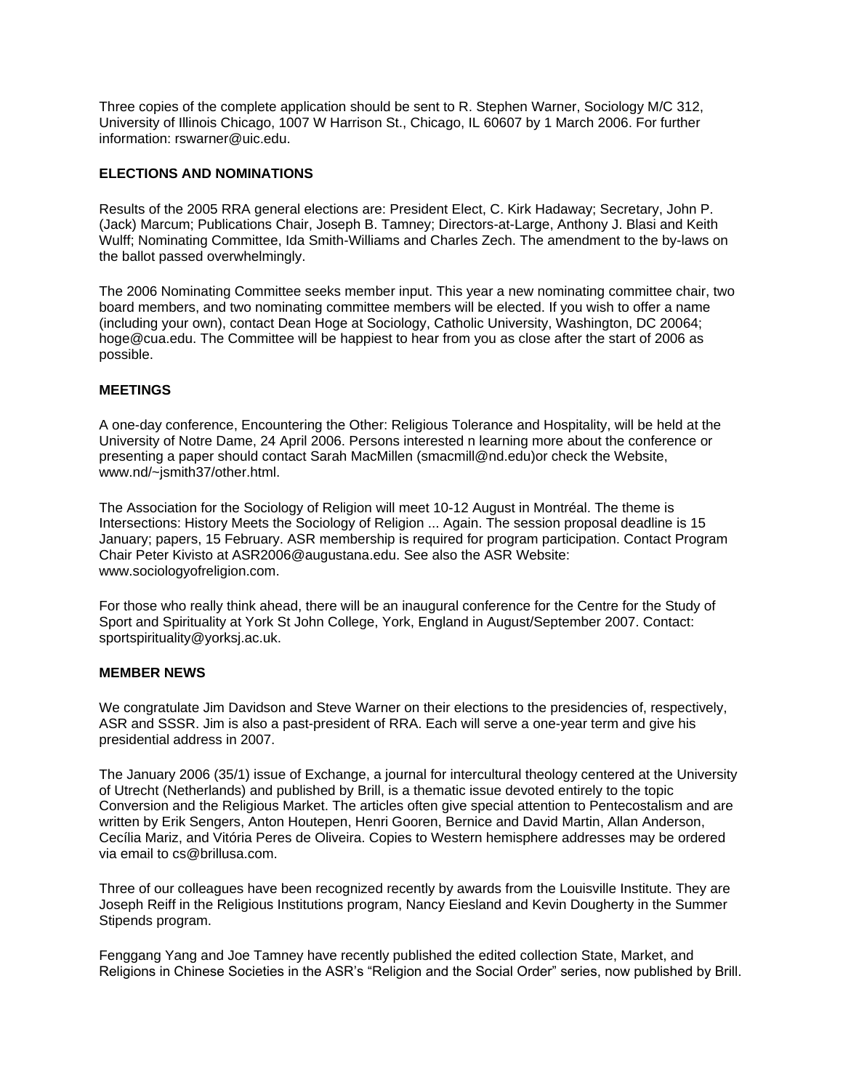Three copies of the complete application should be sent to R. Stephen Warner, Sociology M/C 312, University of Illinois Chicago, 1007 W Harrison St., Chicago, IL 60607 by 1 March 2006. For further information: rswarner@uic.edu.

## **ELECTIONS AND NOMINATIONS**

Results of the 2005 RRA general elections are: President Elect, C. Kirk Hadaway; Secretary, John P. (Jack) Marcum; Publications Chair, Joseph B. Tamney; Directors-at-Large, Anthony J. Blasi and Keith Wulff; Nominating Committee, Ida Smith-Williams and Charles Zech. The amendment to the by-laws on the ballot passed overwhelmingly.

The 2006 Nominating Committee seeks member input. This year a new nominating committee chair, two board members, and two nominating committee members will be elected. If you wish to offer a name (including your own), contact Dean Hoge at Sociology, Catholic University, Washington, DC 20064; hoge@cua.edu. The Committee will be happiest to hear from you as close after the start of 2006 as possible.

#### **MEETINGS**

A one-day conference, Encountering the Other: Religious Tolerance and Hospitality, will be held at the University of Notre Dame, 24 April 2006. Persons interested n learning more about the conference or presenting a paper should contact Sarah MacMillen (smacmill@nd.edu)or check the Website, www.nd/~jsmith37/other.html.

The Association for the Sociology of Religion will meet 10-12 August in Montréal. The theme is Intersections: History Meets the Sociology of Religion ... Again. The session proposal deadline is 15 January; papers, 15 February. ASR membership is required for program participation. Contact Program Chair Peter Kivisto at ASR2006@augustana.edu. See also the ASR Website: www.sociologyofreligion.com.

For those who really think ahead, there will be an inaugural conference for the Centre for the Study of Sport and Spirituality at York St John College, York, England in August/September 2007. Contact: sportspirituality@yorksj.ac.uk.

#### **MEMBER NEWS**

We congratulate Jim Davidson and Steve Warner on their elections to the presidencies of, respectively, ASR and SSSR. Jim is also a past-president of RRA. Each will serve a one-year term and give his presidential address in 2007.

The January 2006 (35/1) issue of Exchange, a journal for intercultural theology centered at the University of Utrecht (Netherlands) and published by Brill, is a thematic issue devoted entirely to the topic Conversion and the Religious Market. The articles often give special attention to Pentecostalism and are written by Erik Sengers, Anton Houtepen, Henri Gooren, Bernice and David Martin, Allan Anderson, Cecília Mariz, and Vitória Peres de Oliveira. Copies to Western hemisphere addresses may be ordered via email to cs@brillusa.com.

Three of our colleagues have been recognized recently by awards from the Louisville Institute. They are Joseph Reiff in the Religious Institutions program, Nancy Eiesland and Kevin Dougherty in the Summer Stipends program.

Fenggang Yang and Joe Tamney have recently published the edited collection State, Market, and Religions in Chinese Societies in the ASR's "Religion and the Social Order" series, now published by Brill.